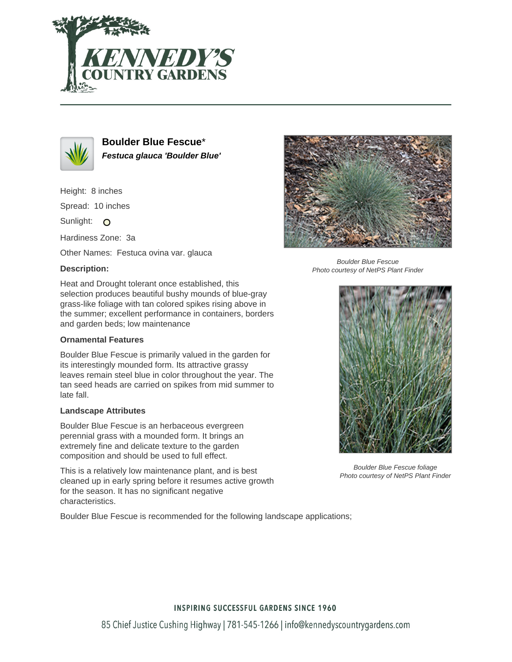



**Boulder Blue Fescue**\* **Festuca glauca 'Boulder Blue'**

Height: 8 inches

Spread: 10 inches

Sunlight: O

Hardiness Zone: 3a

Other Names: Festuca ovina var. glauca

### **Description:**

Heat and Drought tolerant once established, this selection produces beautiful bushy mounds of blue-gray grass-like foliage with tan colored spikes rising above in the summer; excellent performance in containers, borders and garden beds; low maintenance

### **Ornamental Features**

Boulder Blue Fescue is primarily valued in the garden for its interestingly mounded form. Its attractive grassy leaves remain steel blue in color throughout the year. The tan seed heads are carried on spikes from mid summer to late fall.

#### **Landscape Attributes**

Boulder Blue Fescue is an herbaceous evergreen perennial grass with a mounded form. It brings an extremely fine and delicate texture to the garden composition and should be used to full effect.

This is a relatively low maintenance plant, and is best cleaned up in early spring before it resumes active growth for the season. It has no significant negative characteristics.

Boulder Blue Fescue is recommended for the following landscape applications;



Boulder Blue Fescue Photo courtesy of NetPS Plant Finder



Boulder Blue Fescue foliage Photo courtesy of NetPS Plant Finder

## **INSPIRING SUCCESSFUL GARDENS SINCE 1960**

85 Chief Justice Cushing Highway | 781-545-1266 | info@kennedyscountrygardens.com